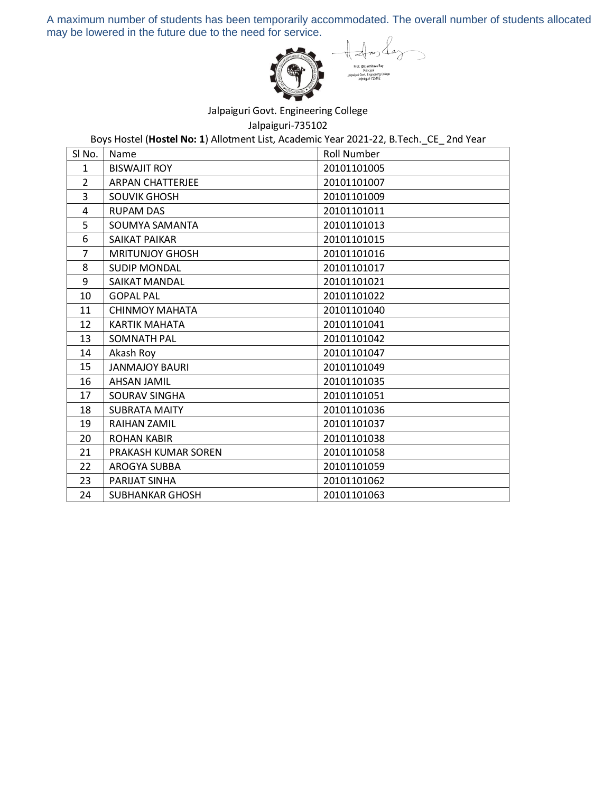A maximum number of students has been temporarily accommodated. The overall number of students allocated may be lowered in the future due to the need for service.



Jalpaiguri Govt. Engineering College

Jalpaiguri-735102

Boys Hostel (**Hostel No: 1**) Allotment List, Academic Year 2021-22, B.Tech.\_CE\_ 2nd Year

| SI No.         | Name                    | <b>Roll Number</b> |
|----------------|-------------------------|--------------------|
| $\mathbf{1}$   | <b>BISWAJIT ROY</b>     | 20101101005        |
| $\overline{2}$ | <b>ARPAN CHATTERJEE</b> | 20101101007        |
| 3              | <b>SOUVIK GHOSH</b>     | 20101101009        |
| 4              | <b>RUPAM DAS</b>        | 20101101011        |
| 5              | SOUMYA SAMANTA          | 20101101013        |
| 6              | SAIKAT PAIKAR           | 20101101015        |
| 7              | <b>MRITUNJOY GHOSH</b>  | 20101101016        |
| 8              | <b>SUDIP MONDAL</b>     | 20101101017        |
| 9              | SAIKAT MANDAL           | 20101101021        |
| 10             | <b>GOPAL PAL</b>        | 20101101022        |
| 11             | <b>CHINMOY MAHATA</b>   | 20101101040        |
| 12             | <b>KARTIK MAHATA</b>    | 20101101041        |
| 13             | <b>SOMNATH PAL</b>      | 20101101042        |
| 14             | Akash Roy               | 20101101047        |
| 15             | <b>JANMAJOY BAURI</b>   | 20101101049        |
| 16             | <b>AHSAN JAMIL</b>      | 20101101035        |
| 17             | SOURAV SINGHA           | 20101101051        |
| 18             | <b>SUBRATA MAITY</b>    | 20101101036        |
| 19             | <b>RAIHAN ZAMIL</b>     | 20101101037        |
| 20             | <b>ROHAN KABIR</b>      | 20101101038        |
| 21             | PRAKASH KUMAR SOREN     | 20101101058        |
| 22             | <b>AROGYA SUBBA</b>     | 20101101059        |
| 23             | PARIJAT SINHA           | 20101101062        |
| 24             | <b>SUBHANKAR GHOSH</b>  | 20101101063        |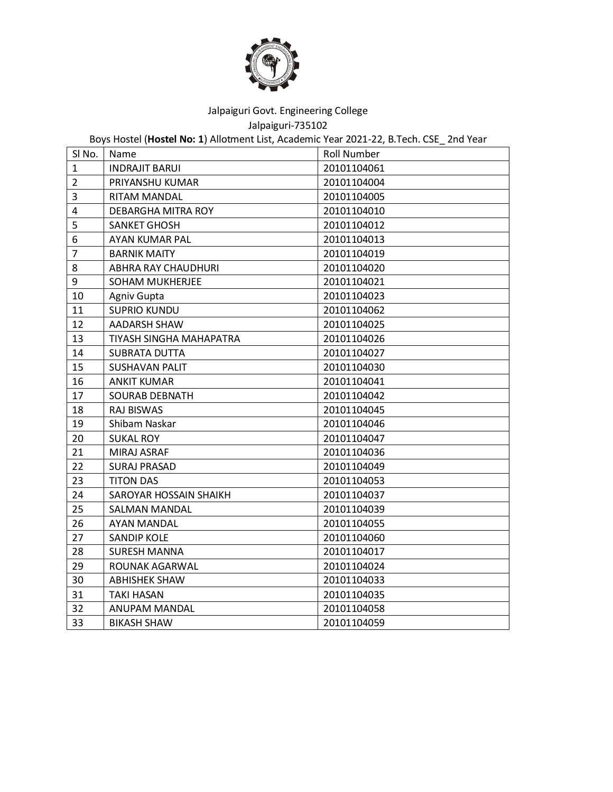

Jalpaiguri-735102

Boys Hostel (**Hostel No: 1**) Allotment List, Academic Year 2021-22, B.Tech. CSE\_ 2nd Year

| SI No.                  | Name                    | <b>Roll Number</b> |
|-------------------------|-------------------------|--------------------|
| 1                       | <b>INDRAJIT BARUI</b>   | 20101104061        |
| $\overline{2}$          | PRIYANSHU KUMAR         | 20101104004        |
| 3                       | RITAM MANDAL            | 20101104005        |
| $\overline{\mathbf{4}}$ | DEBARGHA MITRA ROY      | 20101104010        |
| 5                       | <b>SANKET GHOSH</b>     | 20101104012        |
| 6                       | AYAN KUMAR PAL          | 20101104013        |
| $\overline{7}$          | <b>BARNIK MAITY</b>     | 20101104019        |
| 8                       | ABHRA RAY CHAUDHURI     | 20101104020        |
| 9                       | <b>SOHAM MUKHERJEE</b>  | 20101104021        |
| 10                      | Agniv Gupta             | 20101104023        |
| 11                      | <b>SUPRIO KUNDU</b>     | 20101104062        |
| 12                      | AADARSH SHAW            | 20101104025        |
| 13                      | TIYASH SINGHA MAHAPATRA | 20101104026        |
| 14                      | <b>SUBRATA DUTTA</b>    | 20101104027        |
| 15                      | <b>SUSHAVAN PALIT</b>   | 20101104030        |
| 16                      | <b>ANKIT KUMAR</b>      | 20101104041        |
| 17                      | <b>SOURAB DEBNATH</b>   | 20101104042        |
| 18                      | <b>RAJ BISWAS</b>       | 20101104045        |
| 19                      | Shibam Naskar           | 20101104046        |
| 20                      | <b>SUKAL ROY</b>        | 20101104047        |
| 21                      | MIRAJ ASRAF             | 20101104036        |
| 22                      | <b>SURAJ PRASAD</b>     | 20101104049        |
| 23                      | <b>TITON DAS</b>        | 20101104053        |
| 24                      | SAROYAR HOSSAIN SHAIKH  | 20101104037        |
| 25                      | <b>SALMAN MANDAL</b>    | 20101104039        |
| 26                      | <b>AYAN MANDAL</b>      | 20101104055        |
| 27                      | <b>SANDIP KOLE</b>      | 20101104060        |
| 28                      | <b>SURESH MANNA</b>     | 20101104017        |
| 29                      | ROUNAK AGARWAL          | 20101104024        |
| 30                      | <b>ABHISHEK SHAW</b>    | 20101104033        |
| 31                      | <b>TAKI HASAN</b>       | 20101104035        |
| 32                      | ANUPAM MANDAL           | 20101104058        |
| 33                      | <b>BIKASH SHAW</b>      | 20101104059        |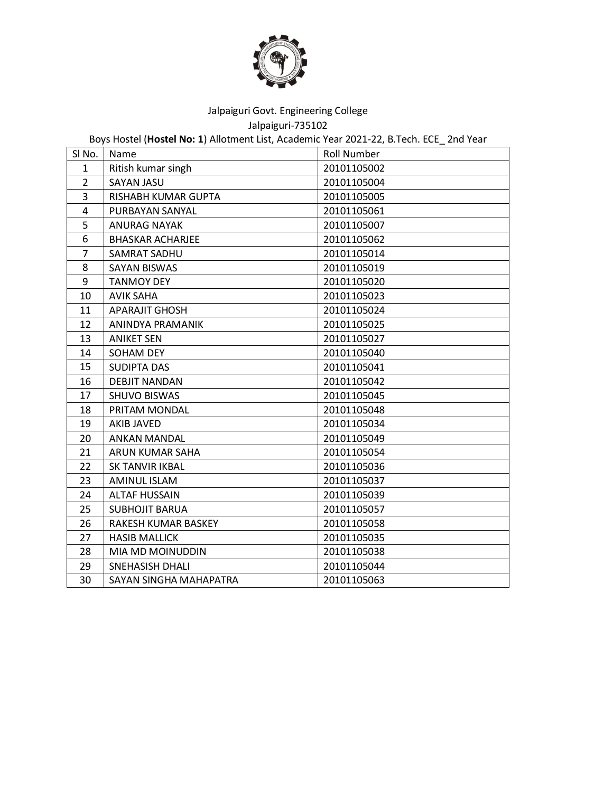

Jalpaiguri-735102

Boys Hostel (**Hostel No: 1**) Allotment List, Academic Year 2021-22, B.Tech. ECE\_ 2nd Year

| SI No.         | Name                    | <b>Roll Number</b> |
|----------------|-------------------------|--------------------|
| $\mathbf{1}$   | Ritish kumar singh      | 20101105002        |
| $\overline{2}$ | SAYAN JASU              | 20101105004        |
| 3              | RISHABH KUMAR GUPTA     | 20101105005        |
| 4              | PURBAYAN SANYAL         | 20101105061        |
| 5              | <b>ANURAG NAYAK</b>     | 20101105007        |
| 6              | <b>BHASKAR ACHARJEE</b> | 20101105062        |
| $\overline{7}$ | SAMRAT SADHU            | 20101105014        |
| 8              | <b>SAYAN BISWAS</b>     | 20101105019        |
| 9              | <b>TANMOY DEY</b>       | 20101105020        |
| 10             | <b>AVIK SAHA</b>        | 20101105023        |
| 11             | <b>APARAJIT GHOSH</b>   | 20101105024        |
| 12             | ANINDYA PRAMANIK        | 20101105025        |
| 13             | <b>ANIKET SEN</b>       | 20101105027        |
| 14             | SOHAM DEY               | 20101105040        |
| 15             | <b>SUDIPTA DAS</b>      | 20101105041        |
| 16             | <b>DEBJIT NANDAN</b>    | 20101105042        |
| 17             | <b>SHUVO BISWAS</b>     | 20101105045        |
| 18             | PRITAM MONDAL           | 20101105048        |
| 19             | <b>AKIB JAVED</b>       | 20101105034        |
| 20             | <b>ANKAN MANDAL</b>     | 20101105049        |
| 21             | <b>ARUN KUMAR SAHA</b>  | 20101105054        |
| 22             | <b>SK TANVIR IKBAL</b>  | 20101105036        |
| 23             | AMINUL ISLAM            | 20101105037        |
| 24             | <b>ALTAF HUSSAIN</b>    | 20101105039        |
| 25             | <b>SUBHOJIT BARUA</b>   | 20101105057        |
| 26             | RAKESH KUMAR BASKEY     | 20101105058        |
| 27             | <b>HASIB MALLICK</b>    | 20101105035        |
| 28             | MIA MD MOINUDDIN        | 20101105038        |
| 29             | <b>SNEHASISH DHALI</b>  | 20101105044        |
| 30             | SAYAN SINGHA MAHAPATRA  | 20101105063        |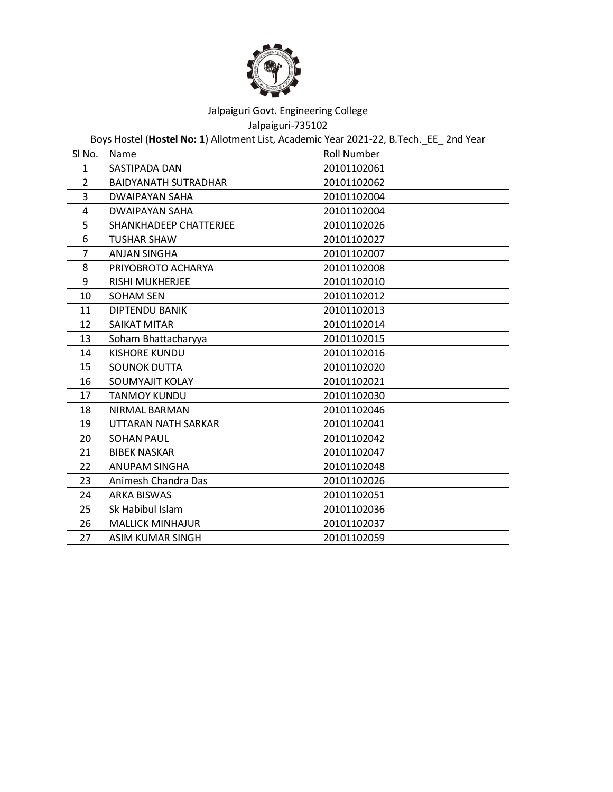

Jalpaiguri-735102

Boys Hostel (**Hostel No: 1**) Allotment List, Academic Year 2021-22, B.Tech.\_EE\_ 2nd Year

| SI No.         | Name                        | <b>Roll Number</b> |
|----------------|-----------------------------|--------------------|
| $\mathbf{1}$   | SASTIPADA DAN               | 20101102061        |
| $\overline{2}$ | <b>BAIDYANATH SUTRADHAR</b> | 20101102062        |
| 3              | DWAIPAYAN SAHA              | 20101102004        |
| 4              | DWAIPAYAN SAHA              | 20101102004        |
| 5              | SHANKHADEEP CHATTERJEE      | 20101102026        |
| 6              | <b>TUSHAR SHAW</b>          | 20101102027        |
| 7              | <b>ANJAN SINGHA</b>         | 20101102007        |
| 8              | PRIYOBROTO ACHARYA          | 20101102008        |
| 9              | <b>RISHI MUKHERJEE</b>      | 20101102010        |
| 10             | SOHAM SEN                   | 20101102012        |
| 11             | DIPTENDU BANIK              | 20101102013        |
| 12             | <b>SAIKAT MITAR</b>         | 20101102014        |
| 13             | Soham Bhattacharyya         | 20101102015        |
| 14             | <b>KISHORE KUNDU</b>        | 20101102016        |
| 15             | <b>SOUNOK DUTTA</b>         | 20101102020        |
| 16             | SOUMYAJIT KOLAY             | 20101102021        |
| 17             | <b>TANMOY KUNDU</b>         | 20101102030        |
| 18             | NIRMAL BARMAN               | 20101102046        |
| 19             | UTTARAN NATH SARKAR         | 20101102041        |
| 20             | <b>SOHAN PAUL</b>           | 20101102042        |
| 21             | <b>BIBEK NASKAR</b>         | 20101102047        |
| 22             | <b>ANUPAM SINGHA</b>        | 20101102048        |
| 23             | Animesh Chandra Das         | 20101102026        |
| 24             | <b>ARKA BISWAS</b>          | 20101102051        |
| 25             | Sk Habibul Islam            | 20101102036        |
| 26             | <b>MALLICK MINHAJUR</b>     | 20101102037        |
| 27             | ASIM KUMAR SINGH            | 20101102059        |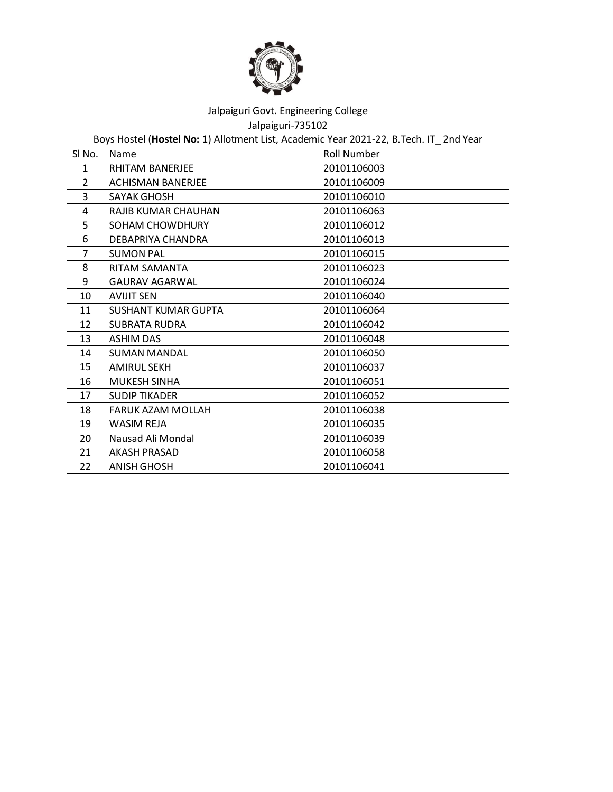

Jalpaiguri-735102

Boys Hostel (**Hostel No: 1**) Allotment List, Academic Year 2021-22, B.Tech. IT\_ 2nd Year

| SI No.       | Name                     | <b>Roll Number</b> |
|--------------|--------------------------|--------------------|
| $\mathbf{1}$ | <b>RHITAM BANERJEE</b>   | 20101106003        |
| 2            | <b>ACHISMAN BANERJEE</b> | 20101106009        |
| 3            | SAYAK GHOSH              | 20101106010        |
| 4            | RAJIB KUMAR CHAUHAN      | 20101106063        |
| 5            | SOHAM CHOWDHURY          | 20101106012        |
| 6            | DEBAPRIYA CHANDRA        | 20101106013        |
| 7            | <b>SUMON PAL</b>         | 20101106015        |
| 8            | RITAM SAMANTA            | 20101106023        |
| 9            | <b>GAURAV AGARWAL</b>    | 20101106024        |
| 10           | <b>AVIJIT SEN</b>        | 20101106040        |
| 11           | SUSHANT KUMAR GUPTA      | 20101106064        |
| 12           | <b>SUBRATA RUDRA</b>     | 20101106042        |
| 13           | <b>ASHIM DAS</b>         | 20101106048        |
| 14           | <b>SUMAN MANDAL</b>      | 20101106050        |
| 15           | <b>AMIRUL SEKH</b>       | 20101106037        |
| 16           | <b>MUKESH SINHA</b>      | 20101106051        |
| 17           | <b>SUDIP TIKADER</b>     | 20101106052        |
| 18           | <b>FARUK AZAM MOLLAH</b> | 20101106038        |
| 19           | WASIM REJA               | 20101106035        |
| 20           | Nausad Ali Mondal        | 20101106039        |
| 21           | <b>AKASH PRASAD</b>      | 20101106058        |
| 22           | <b>ANISH GHOSH</b>       | 20101106041        |